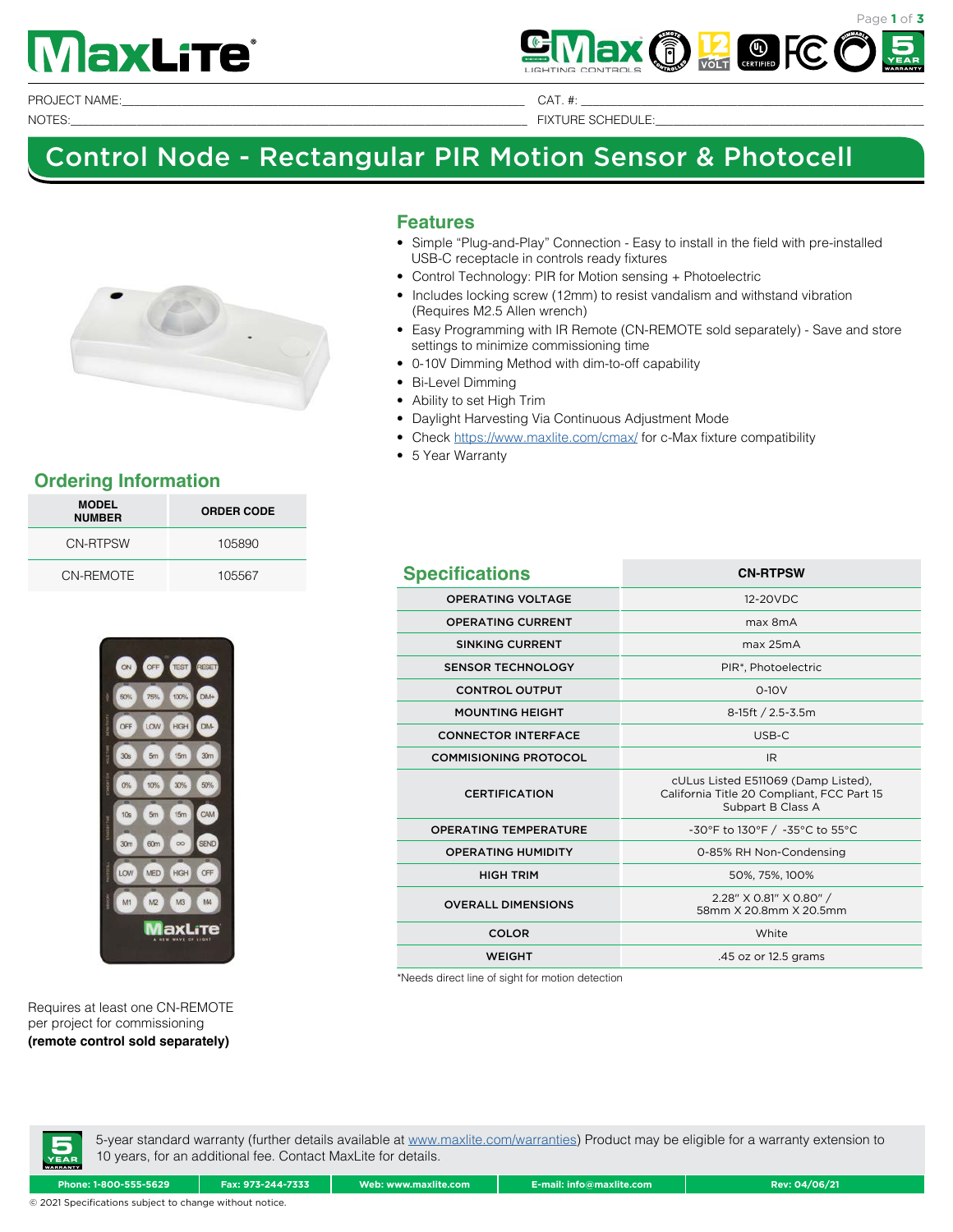# **MaxLite**



PROJECT NAME:\_\_\_\_\_\_\_\_\_\_\_\_\_\_\_\_\_\_\_\_\_\_\_\_\_\_\_\_\_\_\_\_\_\_\_\_\_\_\_\_\_\_\_\_\_\_\_\_\_\_\_\_\_\_\_\_\_\_\_\_\_\_\_\_\_\_\_ CAT. #: \_\_\_\_\_\_\_\_\_\_\_\_\_\_\_\_\_\_\_\_\_\_\_\_\_\_\_\_\_\_\_\_\_\_\_\_\_\_\_\_\_\_\_\_\_\_\_\_\_\_\_\_\_\_\_\_\_

NOTES:<br>NOTES:

## Control Node - Rectangular PIR Motion Sensor & Photocell



## **Ordering Information**

| <b>MODEL</b><br><b>NUMBER</b> | <b>ORDER CODE</b> |
|-------------------------------|-------------------|
| CN-RTPSW                      | 105890            |
| CN-REMOTE                     | 105567            |



Requires at least one CN-REMOTE per project for commissioning **(remote control sold separately)** 

### **Features**

- Simple "Plug-and-Play" Connection Easy to install in the field with pre-installed USB-C receptacle in controls ready fixtures
- Control Technology: PIR for Motion sensing + Photoelectric
- Includes locking screw (12mm) to resist vandalism and withstand vibration (Requires M2.5 Allen wrench)
- Easy Programming with IR Remote (CN-REMOTE sold separately) Save and store settings to minimize commissioning time
- 0-10V Dimming Method with dim-to-off capability
- Bi-Level Dimming
- Ability to set High Trim
- Daylight Harvesting Via Continuous Adjustment Mode
- Check <https://www.maxlite.com/cmax/> for c-Max fixture compatibility
- 5 Year Warranty

| <b>Specifications</b>        | <b>CN-RTPSW</b>                                                                                        |
|------------------------------|--------------------------------------------------------------------------------------------------------|
| <b>OPERATING VOLTAGE</b>     | 12-20VDC                                                                                               |
| <b>OPERATING CURRENT</b>     | max 8mA                                                                                                |
| <b>SINKING CURRENT</b>       | max 25mA                                                                                               |
| <b>SENSOR TECHNOLOGY</b>     | PIR*, Photoelectric                                                                                    |
| <b>CONTROL OUTPUT</b>        | $0-10V$                                                                                                |
| <b>MOUNTING HEIGHT</b>       | 8-15ft / 2.5-3.5m                                                                                      |
| <b>CONNECTOR INTERFACE</b>   | USB-C                                                                                                  |
| <b>COMMISIONING PROTOCOL</b> | IR.                                                                                                    |
| <b>CERTIFICATION</b>         | cULus Listed E511069 (Damp Listed),<br>California Title 20 Compliant, FCC Part 15<br>Subpart B Class A |
| <b>OPERATING TEMPERATURE</b> | -30°F to 130°F / -35°C to 55°C                                                                         |
| <b>OPERATING HUMIDITY</b>    | 0-85% RH Non-Condensing                                                                                |
| <b>HIGH TRIM</b>             | 50%, 75%, 100%                                                                                         |
| <b>OVERALL DIMENSIONS</b>    | 2.28" X 0.81" X 0.80" /<br>58mm X 20.8mm X 20.5mm                                                      |
| <b>COLOR</b>                 | White                                                                                                  |
| <b>WEIGHT</b>                | .45 oz or 12.5 grams                                                                                   |

\*Needs direct line of sight for motion detection



5-year standard warranty (further details available at www.maxlite.com/warranties) Product may be eligible for a warranty extension to 10 years, for an additional fee. Contact MaxLite for details.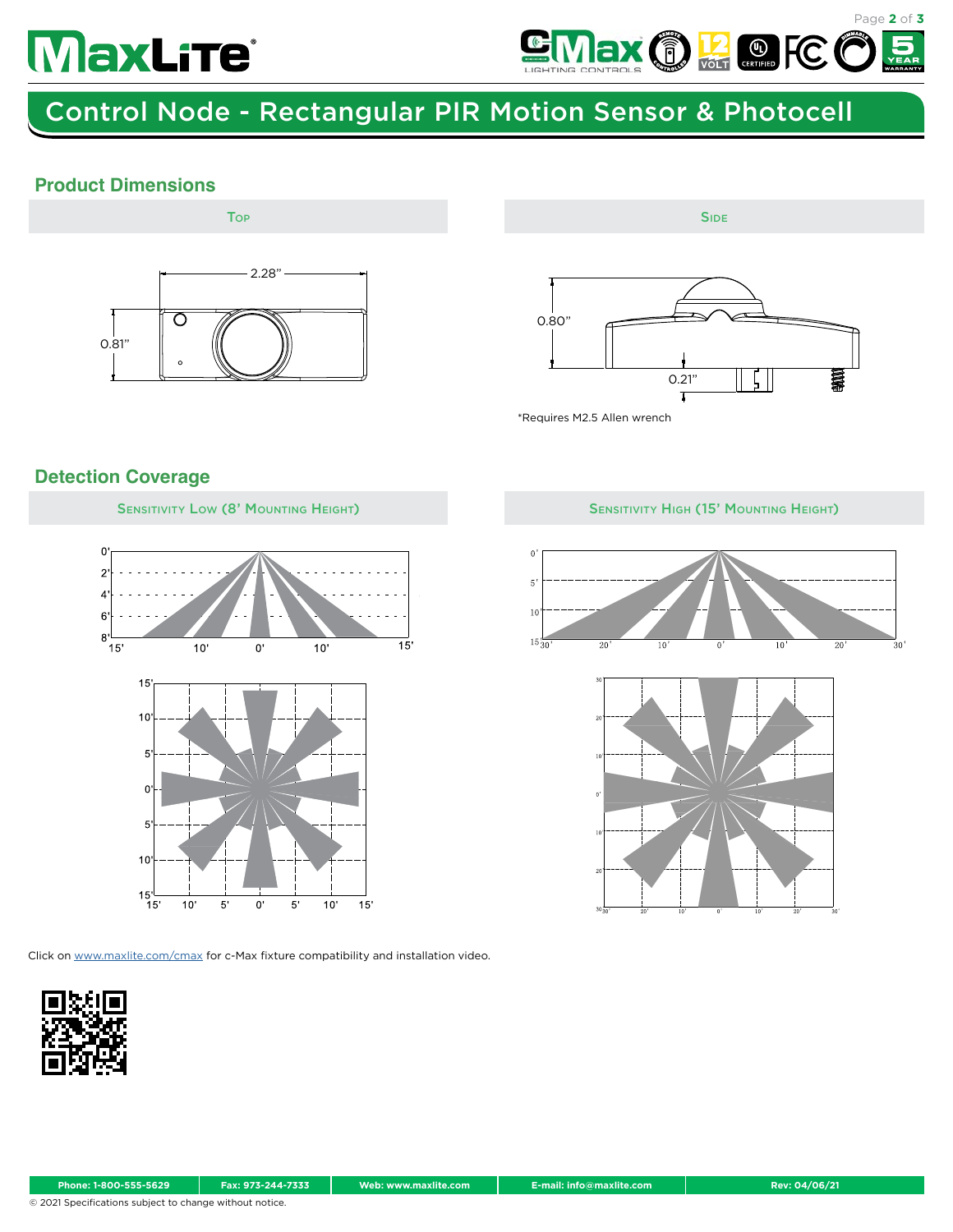# **MaxLite®**



# Control Node - Rectangular PIR Motion Sensor & Photocell

## **Product Dimensions**





\*Requires M2.5 Allen wrench

## **Detection Coverage**



Click on [www.maxlite.com/cmax](http://www.maxlite.com/cmax) for c-Max fixture compatibility and installation video.





© 2021 Specifications subject to change without notice.

Sensitivity Low (8' Mounting Height) Sensitivity High (15' Mounting Height)